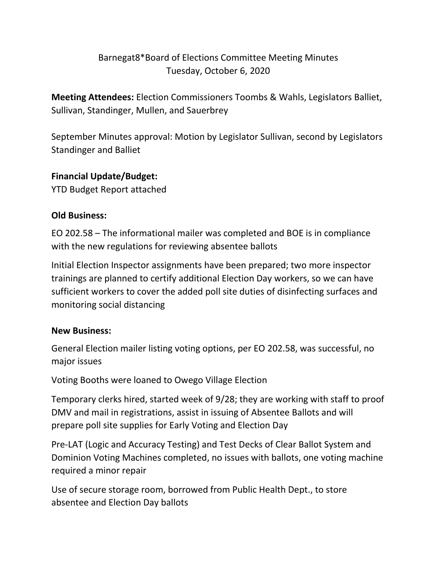# Barnegat8\*Board of Elections Committee Meeting Minutes Tuesday, October 6, 2020

**Meeting Attendees:** Election Commissioners Toombs & Wahls, Legislators Balliet, Sullivan, Standinger, Mullen, and Sauerbrey

September Minutes approval: Motion by Legislator Sullivan, second by Legislators Standinger and Balliet

### **Financial Update/Budget:**

YTD Budget Report attached

## **Old Business:**

EO 202.58 – The informational mailer was completed and BOE is in compliance with the new regulations for reviewing absentee ballots

Initial Election Inspector assignments have been prepared; two more inspector trainings are planned to certify additional Election Day workers, so we can have sufficient workers to cover the added poll site duties of disinfecting surfaces and monitoring social distancing

# **New Business:**

General Election mailer listing voting options, per EO 202.58, was successful, no major issues

Voting Booths were loaned to Owego Village Election

Temporary clerks hired, started week of 9/28; they are working with staff to proof DMV and mail in registrations, assist in issuing of Absentee Ballots and will prepare poll site supplies for Early Voting and Election Day

Pre-LAT (Logic and Accuracy Testing) and Test Decks of Clear Ballot System and Dominion Voting Machines completed, no issues with ballots, one voting machine required a minor repair

Use of secure storage room, borrowed from Public Health Dept., to store absentee and Election Day ballots